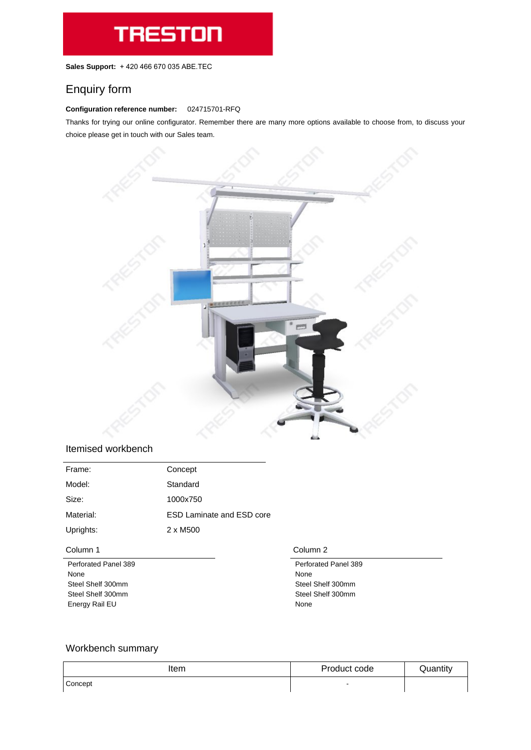**Sales Support:** +420 466 670 035 ABE.TEC

# Enquiry form

#### **Configuration reference number:** 024715701-RFQ

Thanks for trying our online configurator. Remember there are many more options available to choose from, to discuss your choice please get in touch with our Sales team.



### Itemised workbench

| Frame:    | Concept                          |
|-----------|----------------------------------|
| Model:    | Standard                         |
| Size:     | 1000x750                         |
| Material: | <b>ESD Laminate and ESD core</b> |
| Uprights: | 2 x M500                         |
|           |                                  |

| Column 1                    | Column 2                    |
|-----------------------------|-----------------------------|
| <b>Perforated Panel 389</b> | <b>Perforated Panel 389</b> |
| None                        | None                        |
| Steel Shelf 300mm           | Steel Shelf 300mm           |
| Steel Shelf 300mm           | Steel Shelf 300mm           |
| Energy Rail EU              | None                        |

## Workbench summary

| Item                 | Product code             | Quantity |
|----------------------|--------------------------|----------|
| <sup>1</sup> Concept | $\overline{\phantom{0}}$ |          |